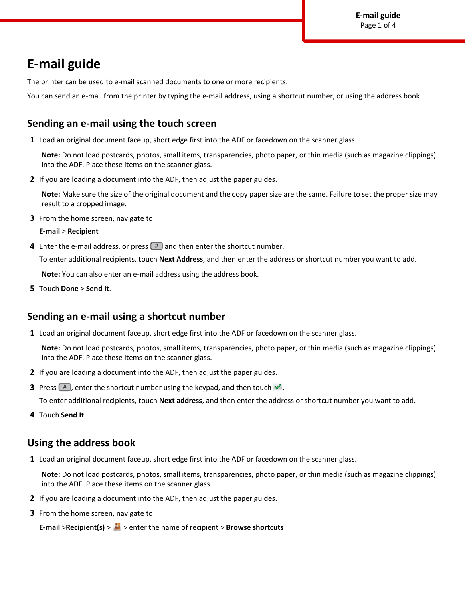# **E-mail guide**

The printer can be used to e-mail scanned documents to one or more recipients.

You can send an e-mail from the printer by typing the e-mail address, using a shortcut number, or using the address book.

# **Sending an e-mail using the touch screen**

**1** Load an original document faceup, short edge first into the ADF or facedown on the scanner glass.

**Note:** Do not load postcards, photos, small items, transparencies, photo paper, or thin media (such as magazine clippings) into the ADF. Place these items on the scanner glass.

**2** If you are loading a document into the ADF, then adjust the paper guides.

**Note:** Make sure the size of the original document and the copy paper size are the same. Failure to set the proper size may result to a cropped image.

**3** From the home screen, navigate to:

#### **E-mail** > **Recipient**

**4** Enter the e-mail address, or press  $#$  and then enter the shortcut number.

To enter additional recipients, touch **Next Address**, and then enter the address or shortcut number you want to add.

**Note:** You can also enter an e-mail address using the address book.

**5** Touch **Done** > **Send It**.

# **Sending an e-mail using a shortcut number**

**1** Load an original document faceup, short edge first into the ADF or facedown on the scanner glass.

**Note:** Do not load postcards, photos, small items, transparencies, photo paper, or thin media (such as magazine clippings) into the ADF. Place these items on the scanner glass.

- **2** If you are loading a document into the ADF, then adjust the paper guides.
- **3** Press  $\left[\frac{\text{#}}{\text{#}}\right]$ , enter the shortcut number using the keypad, and then touch  $\mathcal{L}$ .

To enter additional recipients, touch **Next address**, and then enter the address or shortcut number you want to add.

**4** Touch **Send It**.

# **Using the address book**

**1** Load an original document faceup, short edge first into the ADF or facedown on the scanner glass.

**Note:** Do not load postcards, photos, small items, transparencies, photo paper, or thin media (such as magazine clippings) into the ADF. Place these items on the scanner glass.

- **2** If you are loading a document into the ADF, then adjust the paper guides.
- **3** From the home screen, navigate to:

**E-mail** >**Recipient(s)** >  $\blacksquare$  > enter the name of recipient > **Browse shortcuts**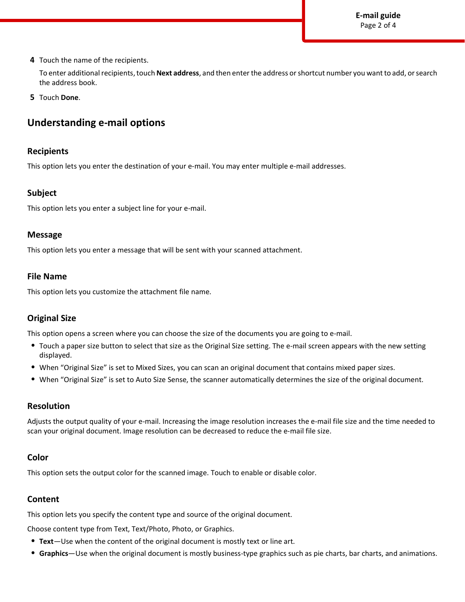**E-mail guide** Page 2 of 4

**4** Touch the name of the recipients.

To enter additional recipients, touch **Next address**, and then enter the address or shortcut number you want to add, or search the address book.

**5** Touch **Done**.

# **Understanding e-mail options**

## **Recipients**

This option lets you enter the destination of your e-mail. You may enter multiple e-mail addresses.

## **Subject**

This option lets you enter a subject line for your e-mail.

## **Message**

This option lets you enter a message that will be sent with your scanned attachment.

## **File Name**

This option lets you customize the attachment file name.

## **Original Size**

This option opens a screen where you can choose the size of the documents you are going to e-mail.

- **•** Touch a paper size button to select that size as the Original Size setting. The e-mail screen appears with the new setting displayed.
- **•** When "Original Size" is set to Mixed Sizes, you can scan an original document that contains mixed paper sizes.
- **•** When "Original Size" is set to Auto Size Sense, the scanner automatically determines the size of the original document.

## **Resolution**

Adjusts the output quality of your e-mail. Increasing the image resolution increases the e-mail file size and the time needed to scan your original document. Image resolution can be decreased to reduce the e-mail file size.

### **Color**

This option sets the output color for the scanned image. Touch to enable or disable color.

### **Content**

This option lets you specify the content type and source of the original document.

Choose content type from Text, Text/Photo, Photo, or Graphics.

- **• Text**—Use when the content of the original document is mostly text or line art.
- **• Graphics**—Use when the original document is mostly business-type graphics such as pie charts, bar charts, and animations.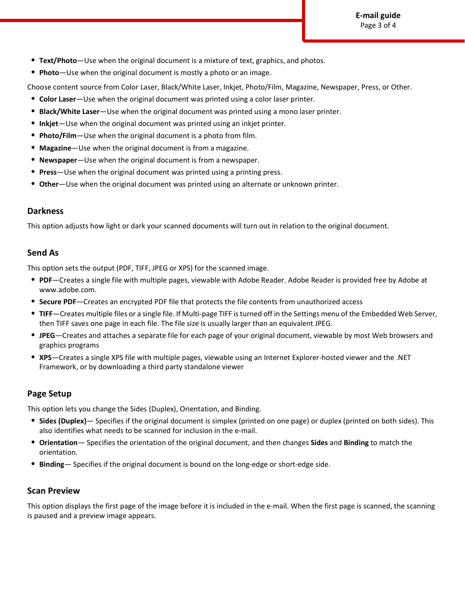- **• Text/Photo**—Use when the original document is a mixture of text, graphics, and photos.
- **• Photo**—Use when the original document is mostly a photo or an image.

Choose content source from Color Laser, Black/White Laser, Inkjet, Photo/Film, Magazine, Newspaper, Press, or Other.

- **• Color Laser**—Use when the original document was printed using a color laser printer.
- **• Black/White Laser**—Use when the original document was printed using a mono laser printer.
- **• Inkjet**—Use when the original document was printed using an inkjet printer.
- **• Photo/Film**—Use when the original document is a photo from film.
- **• Magazine**—Use when the original document is from a magazine.
- **• Newspaper**—Use when the original document is from a newspaper.
- **• Press**—Use when the original document was printed using a printing press.
- **• Other**—Use when the original document was printed using an alternate or unknown printer.

## **Darkness**

This option adjusts how light or dark your scanned documents will turn out in relation to the original document.

## **Send As**

This option sets the output (PDF, TIFF, JPEG or XPS) for the scanned image.

- **• PDF**—Creates a single file with multiple pages, viewable with Adobe Reader. Adobe Reader is provided free by Adobe at www.adobe.com.
- **• Secure PDF**—Creates an encrypted PDF file that protects the file contents from unauthorized access
- **• TIFF**—Creates multiple files or a single file. If Multi-page TIFF is turned off in the Settings menu of the Embedded Web Server, then TIFF saves one page in each file. The file size is usually larger than an equivalent JPEG.
- **• JPEG**—Creates and attaches a separate file for each page of your original document, viewable by most Web browsers and graphics programs
- **• XPS**—Creates a single XPS file with multiple pages, viewable using an Internet Explorer-hosted viewer and the .NET Framework, or by downloading a third party standalone viewer

## **Page Setup**

This option lets you change the Sides (Duplex), Orientation, and Binding.

- **• Sides (Duplex)** Specifies if the original document is simplex (printed on one page) or duplex (printed on both sides). This also identifies what needs to be scanned for inclusion in the e-mail.
- **• Orientation** Specifies the orientation of the original document, and then changes **Sides** and **Binding** to match the orientation.
- **• Binding** Specifies if the original document is bound on the long-edge or short-edge side.

## **Scan Preview**

This option displays the first page of the image before it is included in the e-mail. When the first page is scanned, the scanning is paused and a preview image appears.